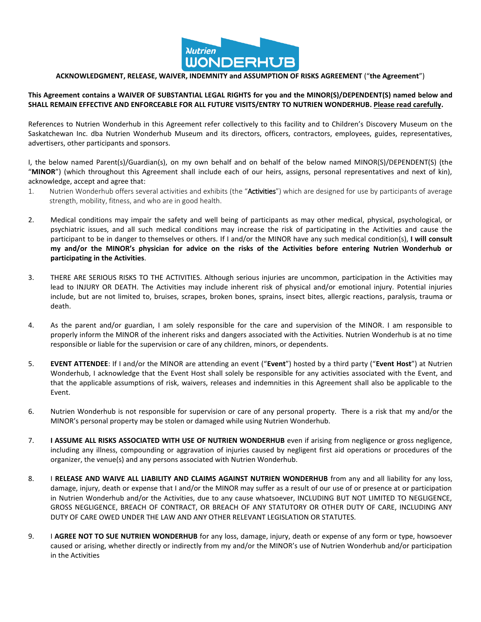

## **ACKNOWLEDGMENT, RELEASE, WAIVER, INDEMNITY and ASSUMPTION OF RISKS AGREEMENT** ("**the Agreement**")

## **This Agreement contains a WAIVER OF SUBSTANTIAL LEGAL RIGHTS for you and the MINOR(S)/DEPENDENT(S) named below and SHALL REMAIN EFFECTIVE AND ENFORCEABLE FOR ALL FUTURE VISITS/ENTRY TO NUTRIEN WONDERHUB. Please read carefully.**

References to Nutrien Wonderhub in this Agreement refer collectively to this facility and to Children's Discovery Museum on the Saskatchewan Inc. dba Nutrien Wonderhub Museum and its directors, officers, contractors, employees, guides, representatives, advertisers, other participants and sponsors.

I, the below named Parent(s)/Guardian(s), on my own behalf and on behalf of the below named MINOR(S)/DEPENDENT(S) (the "**MINOR**") (which throughout this Agreement shall include each of our heirs, assigns, personal representatives and next of kin), acknowledge, accept and agree that:

- 1. Nutrien Wonderhub offers several activities and exhibits (the "Activities") which are designed for use by participants of average strength, mobility, fitness, and who are in good health.
- 2. Medical conditions may impair the safety and well being of participants as may other medical, physical, psychological, or psychiatric issues, and all such medical conditions may increase the risk of participating in the Activities and cause the participant to be in danger to themselves or others. If I and/or the MINOR have any such medical condition(s), **I will consult my and/or the MINOR's physician for advice on the risks of the Activities before entering Nutrien Wonderhub or participating in the Activities**.
- 3. THERE ARE SERIOUS RISKS TO THE ACTIVITIES. Although serious injuries are uncommon, participation in the Activities may lead to INJURY OR DEATH. The Activities may include inherent risk of physical and/or emotional injury. Potential injuries include, but are not limited to, bruises, scrapes, broken bones, sprains, insect bites, allergic reactions, paralysis, trauma or death.
- 4. As the parent and/or guardian, I am solely responsible for the care and supervision of the MINOR. I am responsible to properly inform the MINOR of the inherent risks and dangers associated with the Activities. Nutrien Wonderhub is at no time responsible or liable for the supervision or care of any children, minors, or dependents.
- 5. **EVENT ATTENDEE**: If I and/or the MINOR are attending an event ("**Event**") hosted by a third party ("**Event Host**") at Nutrien Wonderhub, I acknowledge that the Event Host shall solely be responsible for any activities associated with the Event, and that the applicable assumptions of risk, waivers, releases and indemnities in this Agreement shall also be applicable to the Event.
- 6. Nutrien Wonderhub is not responsible for supervision or care of any personal property. There is a risk that my and/or the MINOR's personal property may be stolen or damaged while using Nutrien Wonderhub.
- 7. **I ASSUME ALL RISKS ASSOCIATED WITH USE OF NUTRIEN WONDERHUB** even if arising from negligence or gross negligence, including any illness, compounding or aggravation of injuries caused by negligent first aid operations or procedures of the organizer, the venue(s) and any persons associated with Nutrien Wonderhub.
- 8. I **RELEASE AND WAIVE ALL LIABILITY AND CLAIMS AGAINST NUTRIEN WONDERHUB** from any and all liability for any loss, damage, injury, death or expense that I and/or the MINOR may suffer as a result of our use of or presence at or participation in Nutrien Wonderhub and/or the Activities, due to any cause whatsoever, INCLUDING BUT NOT LIMITED TO NEGLIGENCE, GROSS NEGLIGENCE, BREACH OF CONTRACT, OR BREACH OF ANY STATUTORY OR OTHER DUTY OF CARE, INCLUDING ANY DUTY OF CARE OWED UNDER THE LAW AND ANY OTHER RELEVANT LEGISLATION OR STATUTES.
- 9. I **AGREE NOT TO SUE NUTRIEN WONDERHUB** for any loss, damage, injury, death or expense of any form or type, howsoever caused or arising, whether directly or indirectly from my and/or the MINOR's use of Nutrien Wonderhub and/or participation in the Activities